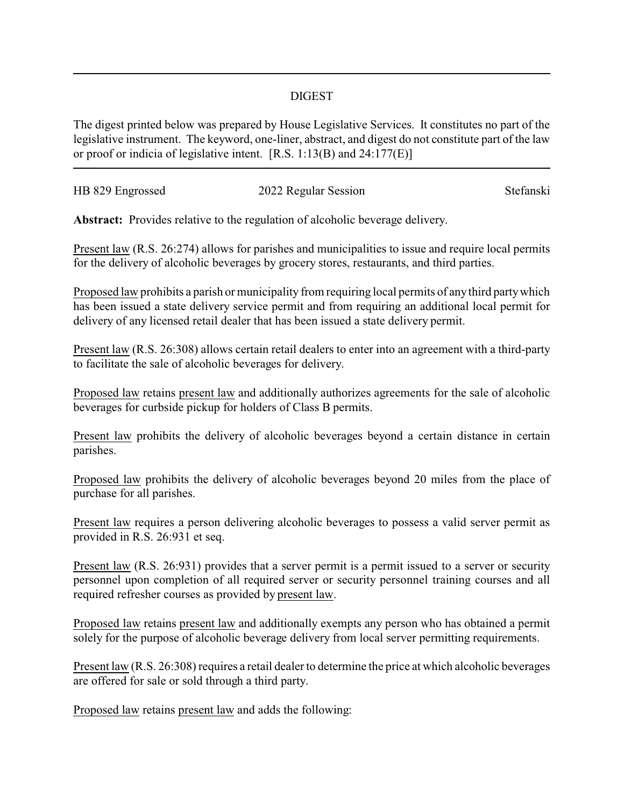## DIGEST

The digest printed below was prepared by House Legislative Services. It constitutes no part of the legislative instrument. The keyword, one-liner, abstract, and digest do not constitute part of the law or proof or indicia of legislative intent. [R.S. 1:13(B) and 24:177(E)]

| HB 829 Engrossed | 2022 Regular Session | Stefanski |
|------------------|----------------------|-----------|
|                  |                      |           |

**Abstract:** Provides relative to the regulation of alcoholic beverage delivery.

Present law (R.S. 26:274) allows for parishes and municipalities to issue and require local permits for the delivery of alcoholic beverages by grocery stores, restaurants, and third parties.

Proposed law prohibits a parish or municipality from requiring local permits of any third party which has been issued a state delivery service permit and from requiring an additional local permit for delivery of any licensed retail dealer that has been issued a state delivery permit.

Present law (R.S. 26:308) allows certain retail dealers to enter into an agreement with a third-party to facilitate the sale of alcoholic beverages for delivery.

Proposed law retains present law and additionally authorizes agreements for the sale of alcoholic beverages for curbside pickup for holders of Class B permits.

Present law prohibits the delivery of alcoholic beverages beyond a certain distance in certain parishes.

Proposed law prohibits the delivery of alcoholic beverages beyond 20 miles from the place of purchase for all parishes.

Present law requires a person delivering alcoholic beverages to possess a valid server permit as provided in R.S. 26:931 et seq.

Present law (R.S. 26:931) provides that a server permit is a permit issued to a server or security personnel upon completion of all required server or security personnel training courses and all required refresher courses as provided by present law.

Proposed law retains present law and additionally exempts any person who has obtained a permit solely for the purpose of alcoholic beverage delivery from local server permitting requirements.

Present law (R.S. 26:308) requires a retail dealer to determine the price at which alcoholic beverages are offered for sale or sold through a third party.

Proposed law retains present law and adds the following: